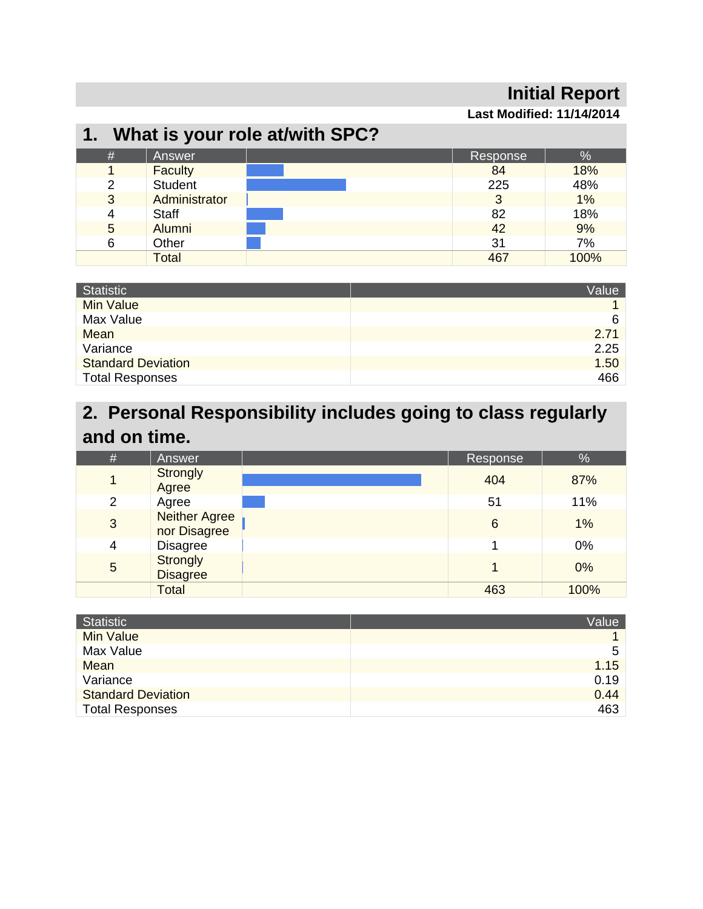## **Initial Report**

**Last Modified: 11/14/2014** 

## **1. What is your role at/with SPC?**

| # | Answer         | Response | %    |
|---|----------------|----------|------|
|   | <b>Faculty</b> | 84       | 18%  |
| っ | <b>Student</b> | 225      | 48%  |
| 3 | Administrator  |          | 1%   |
| 4 | <b>Staff</b>   | 82       | 18%  |
| 5 | Alumni         | 42       | 9%   |
| 6 | Other          | 31       | 7%   |
|   | <b>Total</b>   | 467      | 100% |

| <b>Statistic</b>          | Value |
|---------------------------|-------|
| <b>Min Value</b>          |       |
| Max Value                 | 6     |
| Mean                      | 2.71  |
| Variance                  | 2.25  |
| <b>Standard Deviation</b> | 1.50  |
| <b>Total Responses</b>    | 466   |

## **2. Personal Responsibility includes going to class regularly and on time.**

| $\#$           | Answer                               | Response        | %    |
|----------------|--------------------------------------|-----------------|------|
|                | <b>Strongly</b><br>Agree             | 404             | 87%  |
| $\overline{2}$ | Agree                                | 51              | 11%  |
| 3              | <b>Neither Agree</b><br>nor Disagree | $6\phantom{1}6$ | 1%   |
| 4              | <b>Disagree</b>                      |                 | 0%   |
| 5              | <b>Strongly</b><br><b>Disagree</b>   |                 | 0%   |
|                | <b>Total</b>                         | 463             | 100% |

| Statistic                 | Value |
|---------------------------|-------|
| <b>Min Value</b>          |       |
| Max Value                 | 5     |
| <b>Mean</b>               | 1.15  |
| Variance                  | 0.19  |
| <b>Standard Deviation</b> | 0.44  |
| <b>Total Responses</b>    | 463   |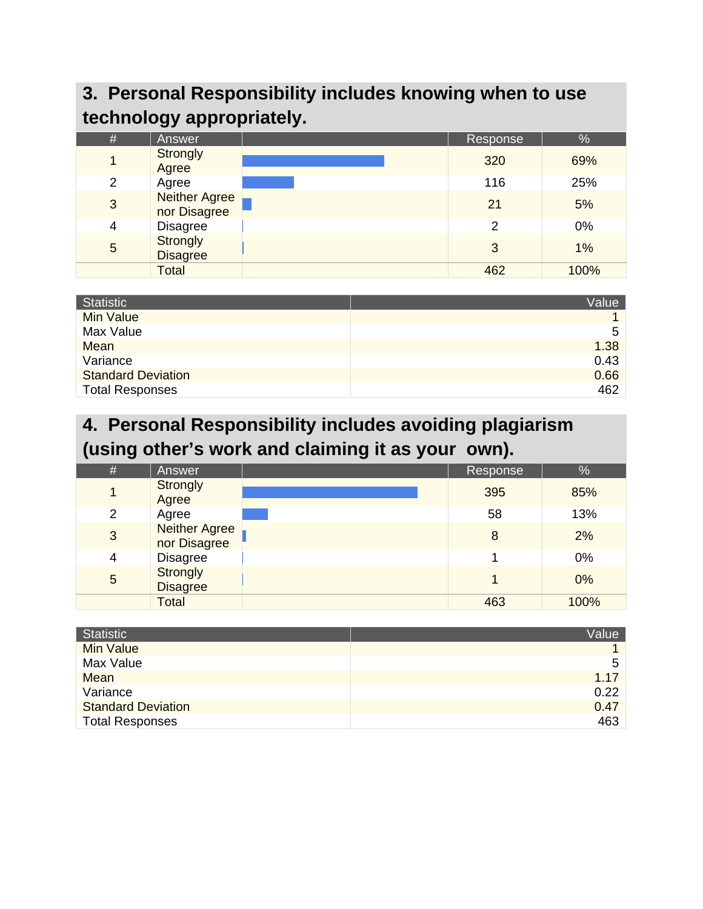# **3. Personal Responsibility includes knowing when to use technology appropriately.**

| $\#$           | <b>Answer</b>                        | Response      | %    |
|----------------|--------------------------------------|---------------|------|
| 1              | <b>Strongly</b><br>Agree             | 320           | 69%  |
| $\overline{2}$ | Agree                                | 116           | 25%  |
| 3              | <b>Neither Agree</b><br>nor Disagree | 21            | 5%   |
| $\overline{4}$ | <b>Disagree</b>                      | $\mathcal{P}$ | 0%   |
| 5              | Strongly<br><b>Disagree</b>          | 3             | 1%   |
|                | <b>Total</b>                         | 462           | 100% |

| <b>Statistic</b>          | Value |
|---------------------------|-------|
| <b>Min Value</b>          |       |
| Max Value                 | 5     |
| <b>Mean</b>               | 1.38  |
| Variance                  | 0.43  |
| <b>Standard Deviation</b> | 0.66  |
| <b>Total Responses</b>    | 462   |

## **4. Personal Responsibility includes avoiding plagiarism (using other's work and claiming it as your own).**

| $\#$           | Answer                               | Response | $\frac{1}{2}$ |
|----------------|--------------------------------------|----------|---------------|
| 1              | Strongly<br>Agree                    | 395      | 85%           |
| 2              | Agree                                | 58       | 13%           |
| 3              | <b>Neither Agree</b><br>nor Disagree | 8        | 2%            |
| $\overline{4}$ | <b>Disagree</b>                      |          | 0%            |
| 5              | <b>Strongly</b><br><b>Disagree</b>   |          | 0%            |
|                | Total                                | 463      | 100%          |

| <b>Statistic</b>          | Value |
|---------------------------|-------|
| <b>Min Value</b>          |       |
| Max Value                 | 5     |
| <b>Mean</b>               | 1.17  |
| Variance                  | 0.22  |
| <b>Standard Deviation</b> | 0.47  |
| <b>Total Responses</b>    | 463   |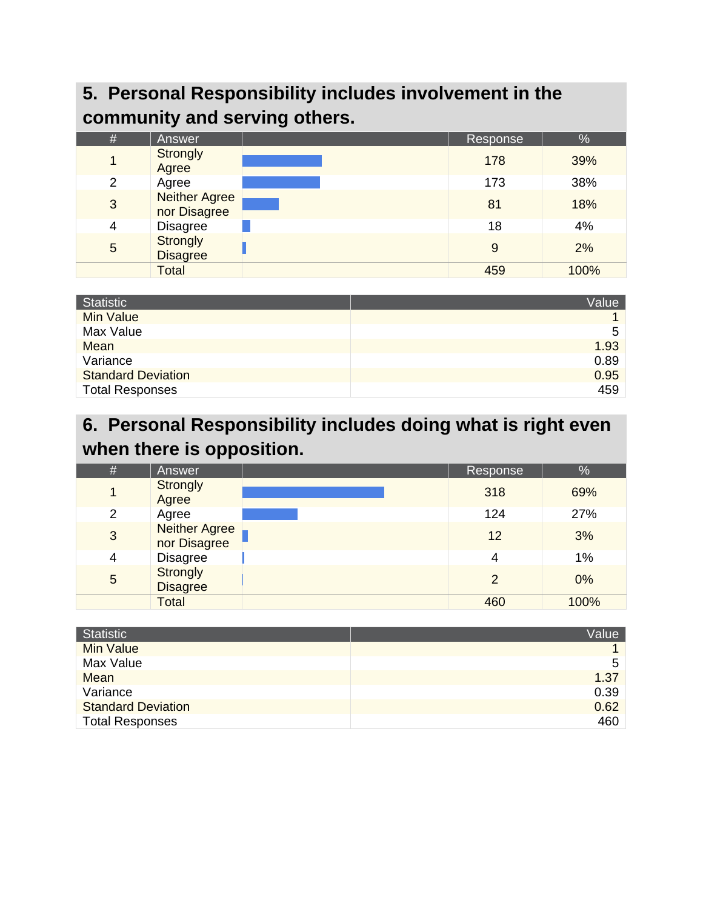# **5. Personal Responsibility includes involvement in the community and serving others.**

| $\#$           | <b>Answer</b>                        | Response | %    |
|----------------|--------------------------------------|----------|------|
| 1              | <b>Strongly</b><br>Agree             | 178      | 39%  |
| $\overline{2}$ | Agree                                | 173      | 38%  |
| 3              | <b>Neither Agree</b><br>nor Disagree | 81       | 18%  |
| 4              | <b>Disagree</b>                      | 18       | 4%   |
| 5              | Strongly<br><b>Disagree</b>          | 9        | 2%   |
|                | <b>Total</b>                         | 459      | 100% |

| <b>Statistic</b>          | Value |
|---------------------------|-------|
| <b>Min Value</b>          |       |
| Max Value                 | 5     |
| Mean                      | 1.93  |
| Variance                  | 0.89  |
| <b>Standard Deviation</b> | 0.95  |
| <b>Total Responses</b>    | 459   |

# **6. Personal Responsibility includes doing what is right even when there is opposition.**

| # | Answer                             | Response      | %    |
|---|------------------------------------|---------------|------|
| 1 | Strongly<br>Agree                  | 318           | 69%  |
| 2 | Agree                              | 124           | 27%  |
| 3 | Neither Agree<br>nor Disagree      | 12            | 3%   |
| 4 | <b>Disagree</b>                    | 4             | 1%   |
| 5 | <b>Strongly</b><br><b>Disagree</b> | $\mathcal{P}$ | 0%   |
|   | <b>Total</b>                       | 460           | 100% |

| <b>Statistic</b>          | Value |
|---------------------------|-------|
| <b>Min Value</b>          |       |
| Max Value                 | 5     |
| <b>Mean</b>               | 1.37  |
| Variance                  | 0.39  |
| <b>Standard Deviation</b> | 0.62  |
| <b>Total Responses</b>    | 460   |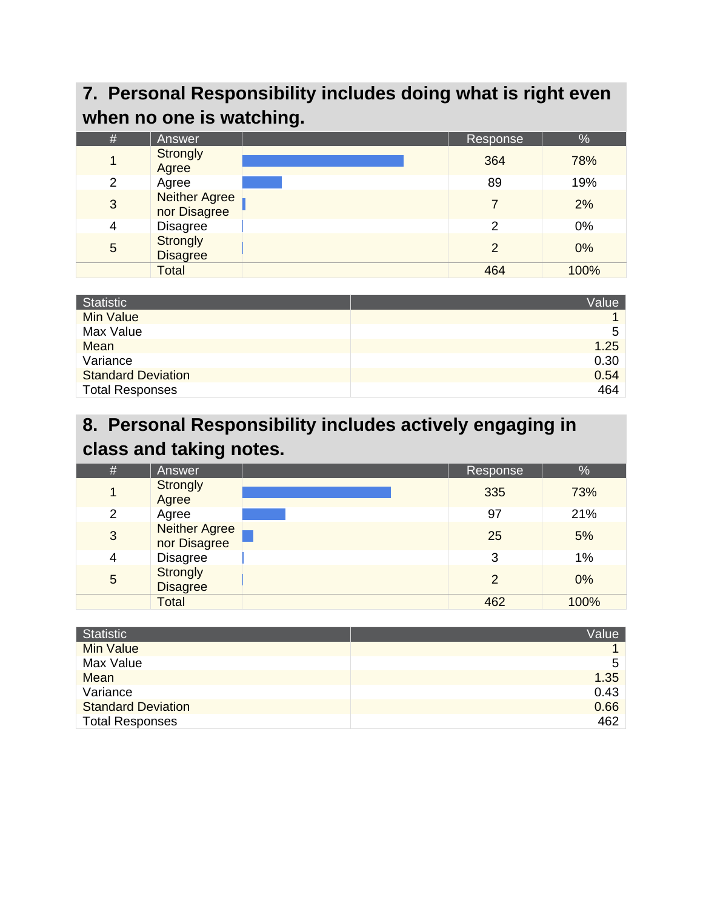# **7. Personal Responsibility includes doing what is right even when no one is watching.**

| $\#$ | Answer                               | Response      | %    |
|------|--------------------------------------|---------------|------|
|      | <b>Strongly</b><br>Agree             | 364           | 78%  |
| 2    | Agree                                | 89            | 19%  |
| 3    | <b>Neither Agree</b><br>nor Disagree |               | 2%   |
| 4    | <b>Disagree</b>                      | 2             | 0%   |
| 5    | Strongly<br><b>Disagree</b>          | $\mathcal{P}$ | 0%   |
|      | <b>Total</b>                         | 464           | 100% |

| Statistic                 | Value |
|---------------------------|-------|
| <b>Min Value</b>          |       |
| Max Value                 | 5     |
| <b>Mean</b>               | 1.25  |
| Variance                  | 0.30  |
| <b>Standard Deviation</b> | 0.54  |
| <b>Total Responses</b>    | 464   |

# **8. Personal Responsibility includes actively engaging in class and taking notes.**

| #              | Answer                               | Response       | %    |
|----------------|--------------------------------------|----------------|------|
| $\mathbf 1$    | Strongly<br>Agree                    | 335            | 73%  |
| $\overline{2}$ | Agree                                | 97             | 21%  |
| 3              | <b>Neither Agree</b><br>nor Disagree | 25             | 5%   |
| 4              | <b>Disagree</b>                      | 3              | 1%   |
| 5              | <b>Strongly</b><br><b>Disagree</b>   | $\overline{2}$ | 0%   |
|                | Total                                | 462            | 100% |

| <b>Statistic</b>          | Value |
|---------------------------|-------|
| <b>Min Value</b>          |       |
| Max Value                 | 5     |
| <b>Mean</b>               | 1.35  |
| Variance                  | 0.43  |
| <b>Standard Deviation</b> | 0.66  |
| <b>Total Responses</b>    | 462   |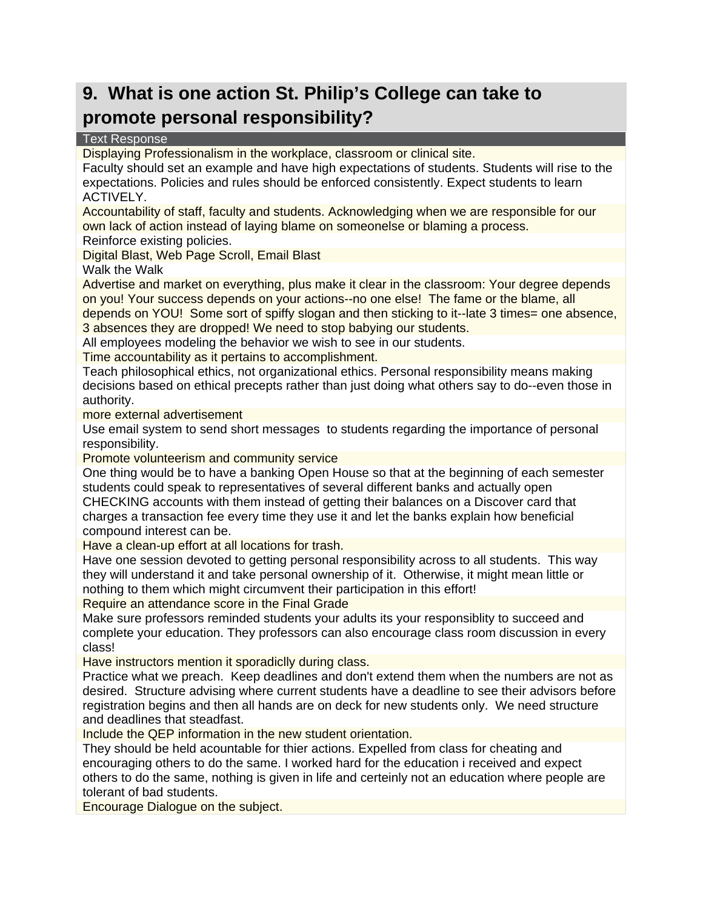## **9. What is one action St. Philip's College can take to promote personal responsibility?**

#### Text Response

Displaying Professionalism in the workplace, classroom or clinical site.

Faculty should set an example and have high expectations of students. Students will rise to the expectations. Policies and rules should be enforced consistently. Expect students to learn ACTIVELY.

Accountability of staff, faculty and students. Acknowledging when we are responsible for our own lack of action instead of laying blame on someonelse or blaming a process.

Reinforce existing policies.

Digital Blast, Web Page Scroll, Email Blast

Walk the Walk

Advertise and market on everything, plus make it clear in the classroom: Your degree depends on you! Your success depends on your actions--no one else! The fame or the blame, all depends on YOU! Some sort of spiffy slogan and then sticking to it--late 3 times= one absence,

3 absences they are dropped! We need to stop babying our students.

All employees modeling the behavior we wish to see in our students.

Time accountability as it pertains to accomplishment.

Teach philosophical ethics, not organizational ethics. Personal responsibility means making decisions based on ethical precepts rather than just doing what others say to do--even those in authority.

more external advertisement

Use email system to send short messages to students regarding the importance of personal responsibility.

Promote volunteerism and community service

One thing would be to have a banking Open House so that at the beginning of each semester students could speak to representatives of several different banks and actually open CHECKING accounts with them instead of getting their balances on a Discover card that charges a transaction fee every time they use it and let the banks explain how beneficial compound interest can be.

Have a clean-up effort at all locations for trash.

Have one session devoted to getting personal responsibility across to all students. This way they will understand it and take personal ownership of it. Otherwise, it might mean little or nothing to them which might circumvent their participation in this effort!

Require an attendance score in the Final Grade

Make sure professors reminded students your adults its your responsiblity to succeed and complete your education. They professors can also encourage class room discussion in every class!

Have instructors mention it sporadiclly during class.

Practice what we preach. Keep deadlines and don't extend them when the numbers are not as desired. Structure advising where current students have a deadline to see their advisors before registration begins and then all hands are on deck for new students only. We need structure and deadlines that steadfast.

Include the QEP information in the new student orientation.

They should be held acountable for thier actions. Expelled from class for cheating and encouraging others to do the same. I worked hard for the education i received and expect others to do the same, nothing is given in life and certeinly not an education where people are tolerant of bad students.

Encourage Dialogue on the subject.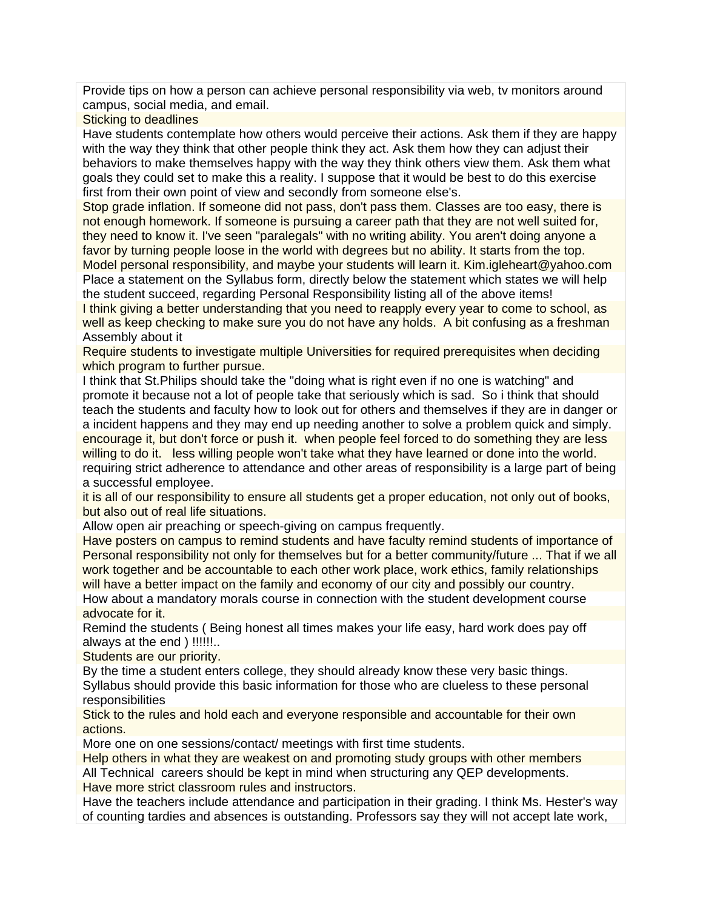Provide tips on how a person can achieve personal responsibility via web, tv monitors around campus, social media, and email.

Sticking to deadlines

Have students contemplate how others would perceive their actions. Ask them if they are happy with the way they think that other people think they act. Ask them how they can adjust their behaviors to make themselves happy with the way they think others view them. Ask them what goals they could set to make this a reality. I suppose that it would be best to do this exercise first from their own point of view and secondly from someone else's.

Stop grade inflation. If someone did not pass, don't pass them. Classes are too easy, there is not enough homework. If someone is pursuing a career path that they are not well suited for, they need to know it. I've seen "paralegals" with no writing ability. You aren't doing anyone a favor by turning people loose in the world with degrees but no ability. It starts from the top. Model personal responsibility, and maybe your students will learn it. Kim.igleheart@yahoo.com

Place a statement on the Syllabus form, directly below the statement which states we will help the student succeed, regarding Personal Responsibility listing all of the above items! I think giving a better understanding that you need to reapply every year to come to school, as

well as keep checking to make sure you do not have any holds. A bit confusing as a freshman Assembly about it

Require students to investigate multiple Universities for required prerequisites when deciding which program to further pursue.

I think that St.Philips should take the "doing what is right even if no one is watching" and promote it because not a lot of people take that seriously which is sad. So i think that should teach the students and faculty how to look out for others and themselves if they are in danger or a incident happens and they may end up needing another to solve a problem quick and simply. encourage it, but don't force or push it. when people feel forced to do something they are less willing to do it. less willing people won't take what they have learned or done into the world. requiring strict adherence to attendance and other areas of responsibility is a large part of being a successful employee.

it is all of our responsibility to ensure all students get a proper education, not only out of books, but also out of real life situations.

Allow open air preaching or speech-giving on campus frequently.

Have posters on campus to remind students and have faculty remind students of importance of Personal responsibility not only for themselves but for a better community/future ... That if we all work together and be accountable to each other work place, work ethics, family relationships will have a better impact on the family and economy of our city and possibly our country. How about a mandatory morals course in connection with the student development course advocate for it.

Remind the students ( Being honest all times makes your life easy, hard work does pay off always at the end ) !!!!!!..

Students are our priority.

By the time a student enters college, they should already know these very basic things. Syllabus should provide this basic information for those who are clueless to these personal responsibilities

Stick to the rules and hold each and everyone responsible and accountable for their own actions.

More one on one sessions/contact/ meetings with first time students.

Help others in what they are weakest on and promoting study groups with other members All Technical careers should be kept in mind when structuring any QEP developments. Have more strict classroom rules and instructors.

Have the teachers include attendance and participation in their grading. I think Ms. Hester's way of counting tardies and absences is outstanding. Professors say they will not accept late work,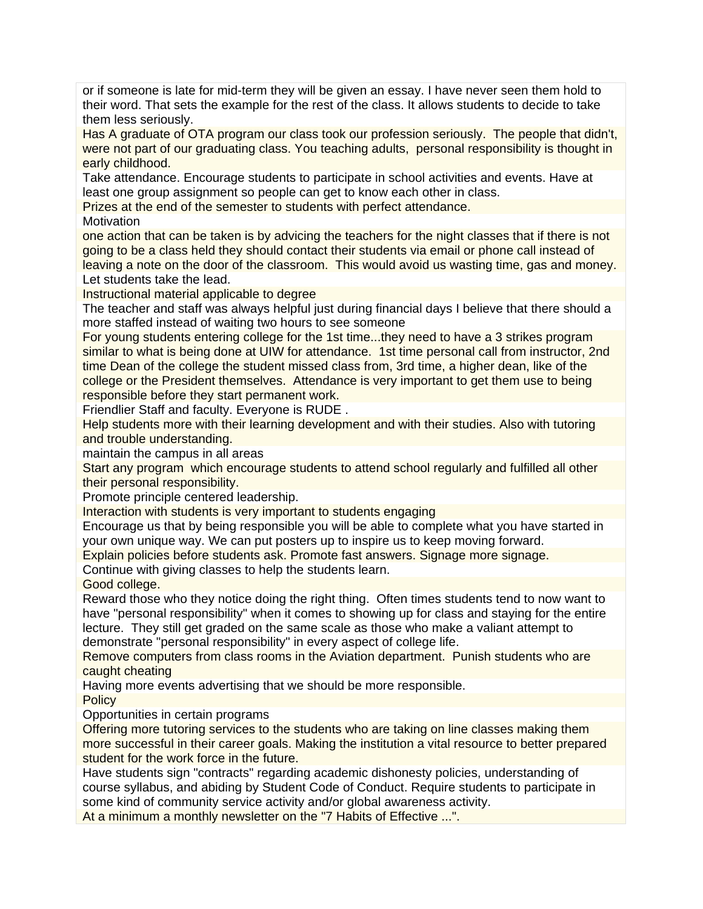or if someone is late for mid-term they will be given an essay. I have never seen them hold to their word. That sets the example for the rest of the class. It allows students to decide to take them less seriously.

Has A graduate of OTA program our class took our profession seriously. The people that didn't, were not part of our graduating class. You teaching adults, personal responsibility is thought in early childhood.

Take attendance. Encourage students to participate in school activities and events. Have at least one group assignment so people can get to know each other in class.

Prizes at the end of the semester to students with perfect attendance.

**Motivation** 

one action that can be taken is by advicing the teachers for the night classes that if there is not going to be a class held they should contact their students via email or phone call instead of leaving a note on the door of the classroom. This would avoid us wasting time, gas and money. Let students take the lead.

Instructional material applicable to degree

The teacher and staff was always helpful just during financial days I believe that there should a more staffed instead of waiting two hours to see someone

For young students entering college for the 1st time...they need to have a 3 strikes program similar to what is being done at UIW for attendance. 1st time personal call from instructor, 2nd time Dean of the college the student missed class from, 3rd time, a higher dean, like of the college or the President themselves. Attendance is very important to get them use to being responsible before they start permanent work.

Friendlier Staff and faculty. Everyone is RUDE .

Help students more with their learning development and with their studies. Also with tutoring and trouble understanding.

maintain the campus in all areas

Start any program which encourage students to attend school regularly and fulfilled all other their personal responsibility.

Promote principle centered leadership.

Interaction with students is very important to students engaging

Encourage us that by being responsible you will be able to complete what you have started in your own unique way. We can put posters up to inspire us to keep moving forward.

Explain policies before students ask. Promote fast answers. Signage more signage.

Continue with giving classes to help the students learn.

Good college.

Reward those who they notice doing the right thing. Often times students tend to now want to have "personal responsibility" when it comes to showing up for class and staying for the entire lecture. They still get graded on the same scale as those who make a valiant attempt to demonstrate "personal responsibility" in every aspect of college life.

Remove computers from class rooms in the Aviation department. Punish students who are caught cheating

Having more events advertising that we should be more responsible.

**Policy** 

Opportunities in certain programs

Offering more tutoring services to the students who are taking on line classes making them more successful in their career goals. Making the institution a vital resource to better prepared student for the work force in the future.

Have students sign "contracts" regarding academic dishonesty policies, understanding of course syllabus, and abiding by Student Code of Conduct. Require students to participate in some kind of community service activity and/or global awareness activity.

At a minimum a monthly newsletter on the "7 Habits of Effective ...".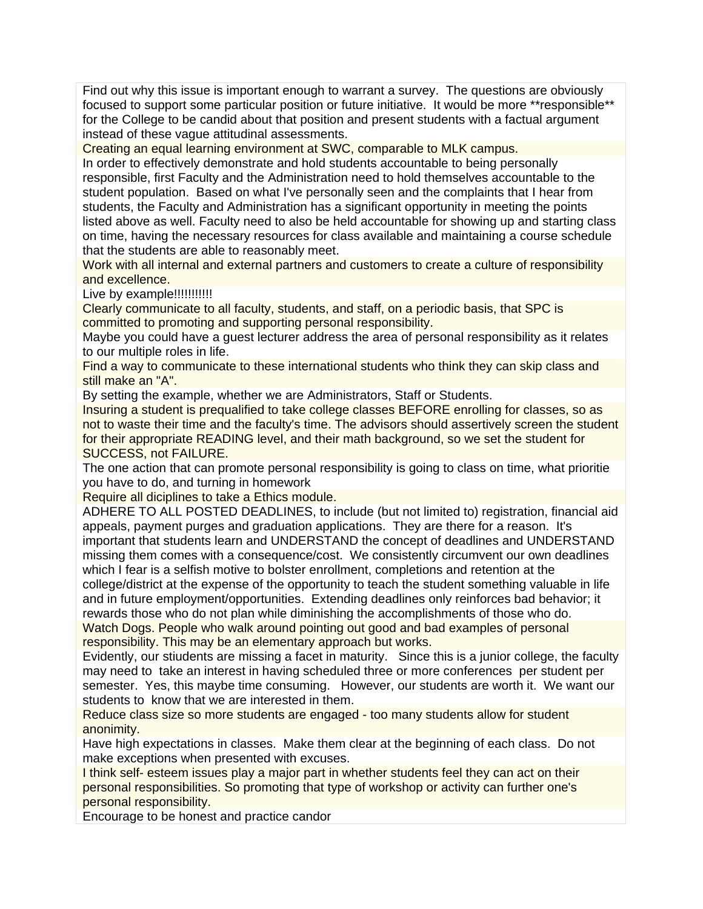Find out why this issue is important enough to warrant a survey. The questions are obviously focused to support some particular position or future initiative. It would be more \*\*responsible\*\* for the College to be candid about that position and present students with a factual argument instead of these vague attitudinal assessments.

Creating an equal learning environment at SWC, comparable to MLK campus.

In order to effectively demonstrate and hold students accountable to being personally responsible, first Faculty and the Administration need to hold themselves accountable to the student population. Based on what I've personally seen and the complaints that I hear from students, the Faculty and Administration has a significant opportunity in meeting the points listed above as well. Faculty need to also be held accountable for showing up and starting class on time, having the necessary resources for class available and maintaining a course schedule that the students are able to reasonably meet.

Work with all internal and external partners and customers to create a culture of responsibility and excellence.

Live by example!!!!!!!!!!!!

Clearly communicate to all faculty, students, and staff, on a periodic basis, that SPC is committed to promoting and supporting personal responsibility.

Maybe you could have a guest lecturer address the area of personal responsibility as it relates to our multiple roles in life.

Find a way to communicate to these international students who think they can skip class and still make an "A".

By setting the example, whether we are Administrators, Staff or Students.

Insuring a student is prequalified to take college classes BEFORE enrolling for classes, so as not to waste their time and the faculty's time. The advisors should assertively screen the student for their appropriate READING level, and their math background, so we set the student for SUCCESS, not FAILURE.

The one action that can promote personal responsibility is going to class on time, what prioritie you have to do, and turning in homework

Require all diciplines to take a Ethics module.

ADHERE TO ALL POSTED DEADLINES, to include (but not limited to) registration, financial aid appeals, payment purges and graduation applications. They are there for a reason. It's important that students learn and UNDERSTAND the concept of deadlines and UNDERSTAND missing them comes with a consequence/cost. We consistently circumvent our own deadlines which I fear is a selfish motive to bolster enrollment, completions and retention at the college/district at the expense of the opportunity to teach the student something valuable in life and in future employment/opportunities. Extending deadlines only reinforces bad behavior; it rewards those who do not plan while diminishing the accomplishments of those who do. Watch Dogs. People who walk around pointing out good and bad examples of personal

responsibility. This may be an elementary approach but works.

Evidently, our stiudents are missing a facet in maturity. Since this is a junior college, the faculty may need to take an interest in having scheduled three or more conferences per student per semester. Yes, this maybe time consuming. However, our students are worth it. We want our students to know that we are interested in them.

Reduce class size so more students are engaged - too many students allow for student anonimity.

Have high expectations in classes. Make them clear at the beginning of each class. Do not make exceptions when presented with excuses.

I think self- esteem issues play a major part in whether students feel they can act on their personal responsibilities. So promoting that type of workshop or activity can further one's personal responsibility.

Encourage to be honest and practice candor